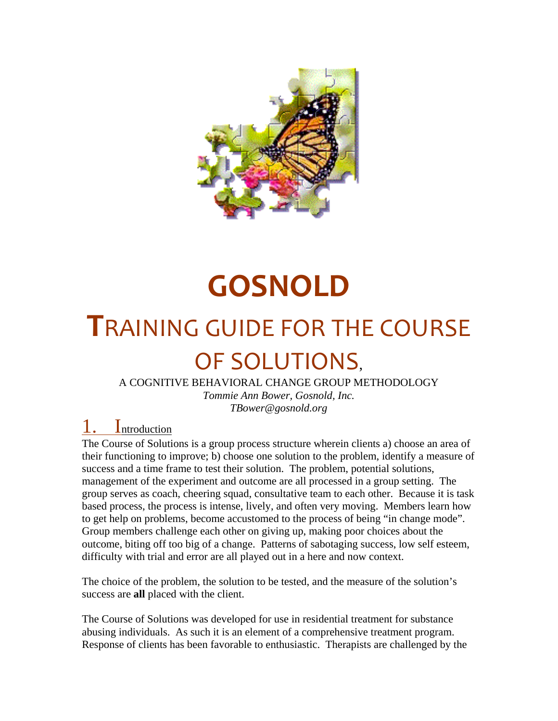

# **GOSNOLD**

# **T**RAINING GUIDE FOR THE COURSE OF SOLUTIONS,

A COGNITIVE BEHAVIORAL CHANGE GROUP METHODOLOGY

*Tommie Ann Bower, Gosnold, Inc. TBower@gosnold.org* 

**Introduction** 

The Course of Solutions is a group process structure wherein clients a) choose an area of their functioning to improve; b) choose one solution to the problem, identify a measure of success and a time frame to test their solution. The problem, potential solutions, management of the experiment and outcome are all processed in a group setting. The group serves as coach, cheering squad, consultative team to each other. Because it is task based process, the process is intense, lively, and often very moving. Members learn how to get help on problems, become accustomed to the process of being "in change mode". Group members challenge each other on giving up, making poor choices about the outcome, biting off too big of a change. Patterns of sabotaging success, low self esteem, difficulty with trial and error are all played out in a here and now context.

The choice of the problem, the solution to be tested, and the measure of the solution's success are **all** placed with the client.

The Course of Solutions was developed for use in residential treatment for substance abusing individuals. As such it is an element of a comprehensive treatment program. Response of clients has been favorable to enthusiastic. Therapists are challenged by the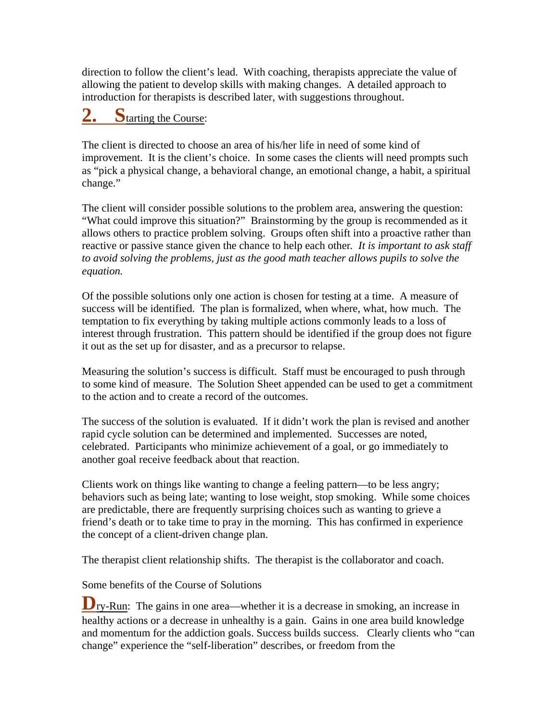direction to follow the client's lead. With coaching, therapists appreciate the value of allowing the patient to develop skills with making changes. A detailed approach to introduction for therapists is described later, with suggestions throughout.

### **2**tarting the Course:

The client is directed to choose an area of his/her life in need of some kind of improvement. It is the client's choice. In some cases the clients will need prompts such as "pick a physical change, a behavioral change, an emotional change, a habit, a spiritual change."

The client will consider possible solutions to the problem area, answering the question: "What could improve this situation?" Brainstorming by the group is recommended as it allows others to practice problem solving. Groups often shift into a proactive rather than reactive or passive stance given the chance to help each other*. It is important to ask staff to avoid solving the problems, just as the good math teacher allows pupils to solve the equation.* 

Of the possible solutions only one action is chosen for testing at a time. A measure of success will be identified. The plan is formalized, when where, what, how much. The temptation to fix everything by taking multiple actions commonly leads to a loss of interest through frustration. This pattern should be identified if the group does not figure it out as the set up for disaster, and as a precursor to relapse.

Measuring the solution's success is difficult. Staff must be encouraged to push through to some kind of measure. The Solution Sheet appended can be used to get a commitment to the action and to create a record of the outcomes.

The success of the solution is evaluated. If it didn't work the plan is revised and another rapid cycle solution can be determined and implemented. Successes are noted, celebrated. Participants who minimize achievement of a goal, or go immediately to another goal receive feedback about that reaction.

Clients work on things like wanting to change a feeling pattern—to be less angry; behaviors such as being late; wanting to lose weight, stop smoking. While some choices are predictable, there are frequently surprising choices such as wanting to grieve a friend's death or to take time to pray in the morning. This has confirmed in experience the concept of a client-driven change plan.

The therapist client relationship shifts. The therapist is the collaborator and coach.

Some benefits of the Course of Solutions

**D**ry-Run: The gains in one area—whether it is a decrease in smoking, an increase in healthy actions or a decrease in unhealthy is a gain. Gains in one area build knowledge and momentum for the addiction goals. Success builds success. Clearly clients who "can change" experience the "self-liberation" describes, or freedom from the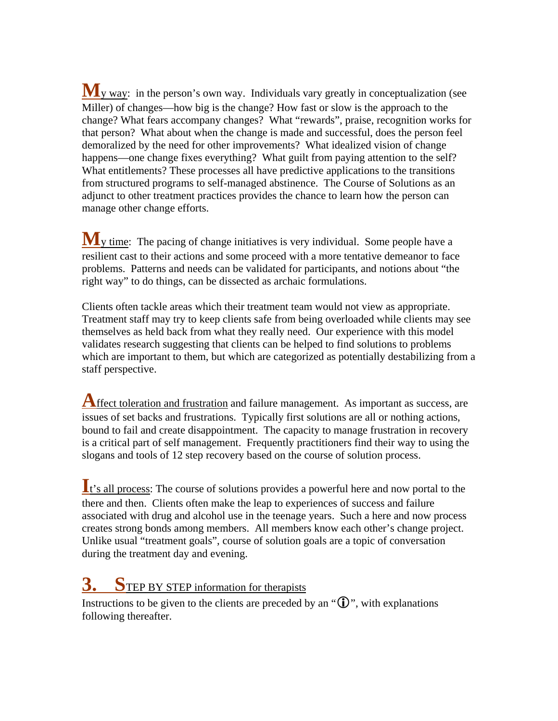**M**<sub>y way</sub>: in the person's own way. Individuals vary greatly in conceptualization (see Miller) of changes—how big is the change? How fast or slow is the approach to the change? What fears accompany changes? What "rewards", praise, recognition works for that person? What about when the change is made and successful, does the person feel demoralized by the need for other improvements? What idealized vision of change happens—one change fixes everything? What guilt from paying attention to the self? What entitlements? These processes all have predictive applications to the transitions from structured programs to self-managed abstinence. The Course of Solutions as an adjunct to other treatment practices provides the chance to learn how the person can manage other change efforts.

**M**y time: The pacing of change initiatives is very individual. Some people have a resilient cast to their actions and some proceed with a more tentative demeanor to face problems. Patterns and needs can be validated for participants, and notions about "the right way" to do things, can be dissected as archaic formulations.

Clients often tackle areas which their treatment team would not view as appropriate. Treatment staff may try to keep clients safe from being overloaded while clients may see themselves as held back from what they really need. Our experience with this model validates research suggesting that clients can be helped to find solutions to problems which are important to them, but which are categorized as potentially destabilizing from a staff perspective.

**A**ffect toleration and frustration and failure management. As important as success, are issues of set backs and frustrations. Typically first solutions are all or nothing actions, bound to fail and create disappointment. The capacity to manage frustration in recovery is a critical part of self management. Frequently practitioners find their way to using the slogans and tools of 12 step recovery based on the course of solution process.

**I**t's all process: The course of solutions provides a powerful here and now portal to the there and then. Clients often make the leap to experiences of success and failure associated with drug and alcohol use in the teenage years. Such a here and now process creates strong bonds among members. All members know each other's change project. Unlike usual "treatment goals", course of solution goals are a topic of conversation during the treatment day and evening.

## **3. S**TEP BY STEP information for therapists

Instructions to be given to the clients are preceded by an " $\mathbb{D}$ ", with explanations following thereafter.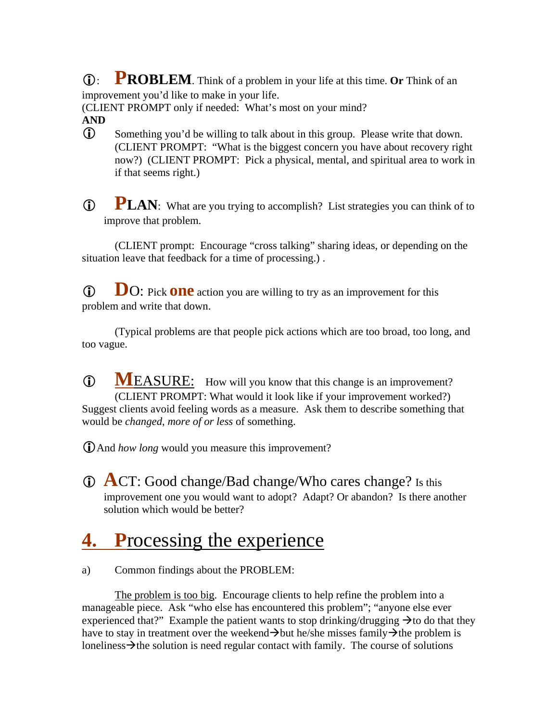L: **PROBLEM**. Think of a problem in your life at this time. **Or** Think of an improvement you'd like to make in your life.

(CLIENT PROMPT only if needed: What's most on your mind?

- **AND**
- L Something you'd be willing to talk about in this group. Please write that down. (CLIENT PROMPT: "What is the biggest concern you have about recovery right now?) (CLIENT PROMPT: Pick a physical, mental, and spiritual area to work in if that seems right.)
- **D PLAN**: What are you trying to accomplish? List strategies you can think of to improve that problem.

(CLIENT prompt: Encourage "cross talking" sharing ideas, or depending on the situation leave that feedback for a time of processing.) .

**D**O: Pick **one** action you are willing to try as an improvement for this problem and write that down.

(Typical problems are that people pick actions which are too broad, too long, and too vague.

**C MEASURE:** How will you know that this change is an improvement? (CLIENT PROMPT: What would it look like if your improvement worked?) Suggest clients avoid feeling words as a measure. Ask them to describe something that would be *changed*, *more of or less* of something.

LAnd *how long* would you measure this improvement?

L **A**CT: Good change/Bad change/Who cares change? Is this improvement one you would want to adopt? Adapt? Or abandon? Is there another solution which would be better?

## **4. P**rocessing the experience

a) Common findings about the PROBLEM:

The problem is too big. Encourage clients to help refine the problem into a manageable piece. Ask "who else has encountered this problem"; "anyone else ever experienced that?" Example the patient wants to stop drinking/drugging  $\rightarrow$  to do that they have to stay in treatment over the weekend  $\rightarrow$  but he/she misses family  $\rightarrow$  the problem is loneliness $\rightarrow$  the solution is need regular contact with family. The course of solutions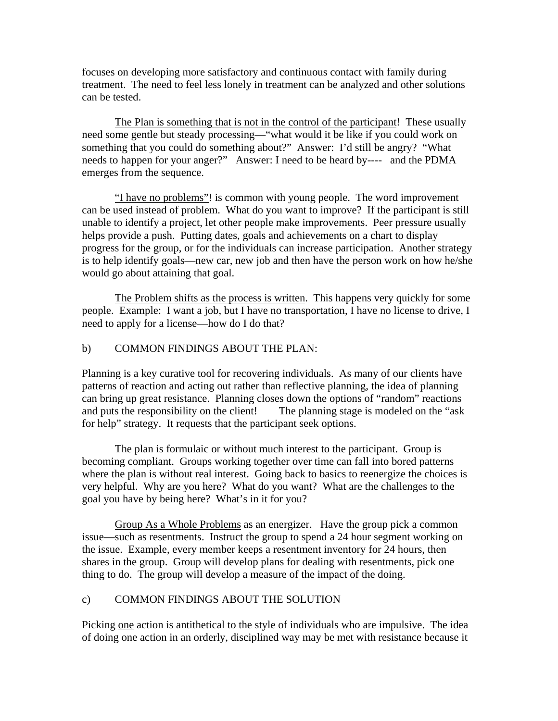focuses on developing more satisfactory and continuous contact with family during treatment. The need to feel less lonely in treatment can be analyzed and other solutions can be tested.

The Plan is something that is not in the control of the participant! These usually need some gentle but steady processing—"what would it be like if you could work on something that you could do something about?" Answer: I'd still be angry? "What needs to happen for your anger?" Answer: I need to be heard by---- and the PDMA emerges from the sequence.

"I have no problems"! is common with young people. The word improvement can be used instead of problem. What do you want to improve? If the participant is still unable to identify a project, let other people make improvements. Peer pressure usually helps provide a push. Putting dates, goals and achievements on a chart to display progress for the group, or for the individuals can increase participation. Another strategy is to help identify goals—new car, new job and then have the person work on how he/she would go about attaining that goal.

The Problem shifts as the process is written. This happens very quickly for some people. Example: I want a job, but I have no transportation, I have no license to drive, I need to apply for a license—how do I do that?

#### b) COMMON FINDINGS ABOUT THE PLAN:

Planning is a key curative tool for recovering individuals. As many of our clients have patterns of reaction and acting out rather than reflective planning, the idea of planning can bring up great resistance. Planning closes down the options of "random" reactions and puts the responsibility on the client! The planning stage is modeled on the "ask for help" strategy. It requests that the participant seek options.

The plan is formulaic or without much interest to the participant. Group is becoming compliant. Groups working together over time can fall into bored patterns where the plan is without real interest. Going back to basics to reenergize the choices is very helpful. Why are you here? What do you want? What are the challenges to the goal you have by being here? What's in it for you?

Group As a Whole Problems as an energizer. Have the group pick a common issue—such as resentments. Instruct the group to spend a 24 hour segment working on the issue. Example, every member keeps a resentment inventory for 24 hours, then shares in the group. Group will develop plans for dealing with resentments, pick one thing to do. The group will develop a measure of the impact of the doing.

#### c) COMMON FINDINGS ABOUT THE SOLUTION

Picking one action is antithetical to the style of individuals who are impulsive. The idea of doing one action in an orderly, disciplined way may be met with resistance because it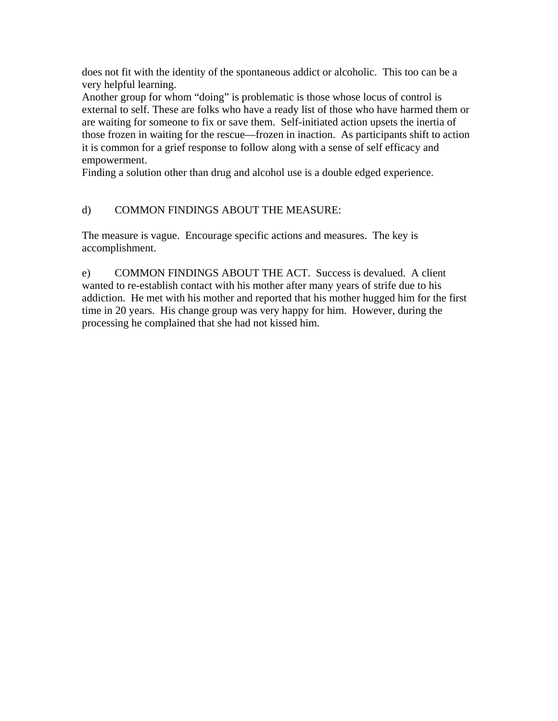does not fit with the identity of the spontaneous addict or alcoholic. This too can be a very helpful learning.

Another group for whom "doing" is problematic is those whose locus of control is external to self. These are folks who have a ready list of those who have harmed them or are waiting for someone to fix or save them. Self-initiated action upsets the inertia of those frozen in waiting for the rescue—frozen in inaction. As participants shift to action it is common for a grief response to follow along with a sense of self efficacy and empowerment.

Finding a solution other than drug and alcohol use is a double edged experience.

#### d) COMMON FINDINGS ABOUT THE MEASURE:

The measure is vague. Encourage specific actions and measures. The key is accomplishment.

e) COMMON FINDINGS ABOUT THE ACT. Success is devalued. A client wanted to re-establish contact with his mother after many years of strife due to his addiction. He met with his mother and reported that his mother hugged him for the first time in 20 years. His change group was very happy for him. However, during the processing he complained that she had not kissed him.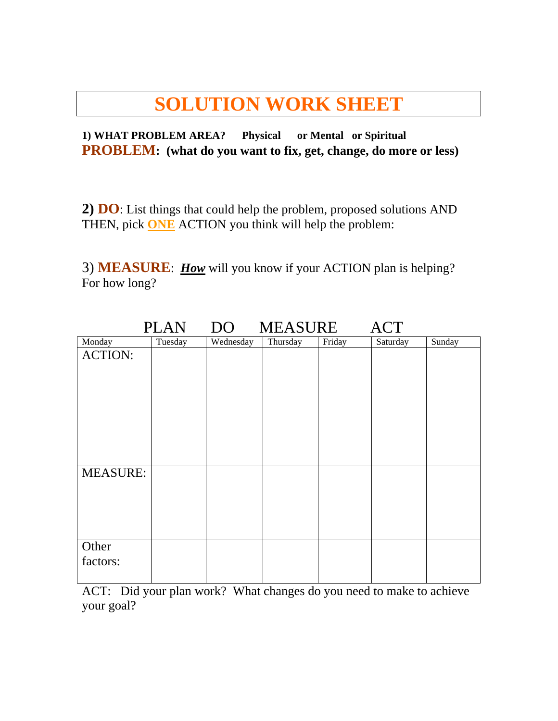### **SOLUTION WORK SHEET**

**1) WHAT PROBLEM AREA? Physical or Mental or Spiritual PROBLEM: (what do you want to fix, get, change, do more or less)** 

**2) DO**: List things that could help the problem, proposed solutions AND THEN, pick **ONE** ACTION you think will help the problem:

3) **MEASURE**: *How* will you know if your ACTION plan is helping? For how long?

|                 | <b>ACT</b><br>DO<br>MEASURE<br><b>PLAN</b> |           |          |        |          |        |  |
|-----------------|--------------------------------------------|-----------|----------|--------|----------|--------|--|
| Monday          | Tuesday                                    | Wednesday | Thursday | Friday | Saturday | Sunday |  |
| <b>ACTION:</b>  |                                            |           |          |        |          |        |  |
|                 |                                            |           |          |        |          |        |  |
|                 |                                            |           |          |        |          |        |  |
|                 |                                            |           |          |        |          |        |  |
|                 |                                            |           |          |        |          |        |  |
|                 |                                            |           |          |        |          |        |  |
|                 |                                            |           |          |        |          |        |  |
|                 |                                            |           |          |        |          |        |  |
|                 |                                            |           |          |        |          |        |  |
| <b>MEASURE:</b> |                                            |           |          |        |          |        |  |
|                 |                                            |           |          |        |          |        |  |
|                 |                                            |           |          |        |          |        |  |
|                 |                                            |           |          |        |          |        |  |
|                 |                                            |           |          |        |          |        |  |
|                 |                                            |           |          |        |          |        |  |
| Other           |                                            |           |          |        |          |        |  |
| factors:        |                                            |           |          |        |          |        |  |
|                 |                                            |           |          |        |          |        |  |

ACT: Did your plan work? What changes do you need to make to achieve your goal?